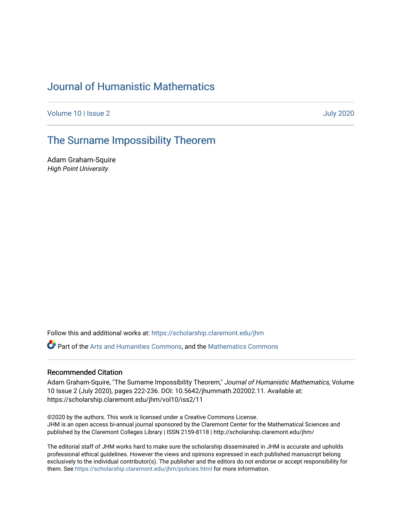# [Journal of Humanistic Mathematics](https://scholarship.claremont.edu/jhm)

[Volume 10](https://scholarship.claremont.edu/jhm/vol10) | [Issue 2 July 2020](https://scholarship.claremont.edu/jhm/vol10/iss2) 

# [The Surname Impossibility Theorem](https://scholarship.claremont.edu/jhm/vol10/iss2/11)

Adam Graham-Squire High Point University

Follow this and additional works at: [https://scholarship.claremont.edu/jhm](https://scholarship.claremont.edu/jhm?utm_source=scholarship.claremont.edu%2Fjhm%2Fvol10%2Fiss2%2F11&utm_medium=PDF&utm_campaign=PDFCoverPages)

Part of the [Arts and Humanities Commons,](http://network.bepress.com/hgg/discipline/438?utm_source=scholarship.claremont.edu%2Fjhm%2Fvol10%2Fiss2%2F11&utm_medium=PDF&utm_campaign=PDFCoverPages) and the [Mathematics Commons](http://network.bepress.com/hgg/discipline/174?utm_source=scholarship.claremont.edu%2Fjhm%2Fvol10%2Fiss2%2F11&utm_medium=PDF&utm_campaign=PDFCoverPages) 

#### Recommended Citation

Adam Graham-Squire, "The Surname Impossibility Theorem," Journal of Humanistic Mathematics, Volume 10 Issue 2 (July 2020), pages 222-236. DOI: 10.5642/jhummath.202002.11. Available at: https://scholarship.claremont.edu/jhm/vol10/iss2/11

©2020 by the authors. This work is licensed under a Creative Commons License. JHM is an open access bi-annual journal sponsored by the Claremont Center for the Mathematical Sciences and published by the Claremont Colleges Library | ISSN 2159-8118 | http://scholarship.claremont.edu/jhm/

The editorial staff of JHM works hard to make sure the scholarship disseminated in JHM is accurate and upholds professional ethical guidelines. However the views and opinions expressed in each published manuscript belong exclusively to the individual contributor(s). The publisher and the editors do not endorse or accept responsibility for them. See<https://scholarship.claremont.edu/jhm/policies.html> for more information.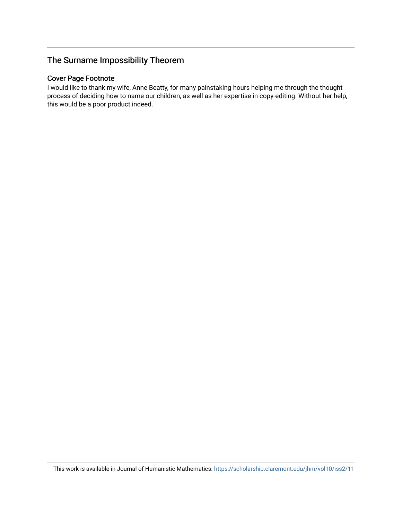# The Surname Impossibility Theorem

# Cover Page Footnote

I would like to thank my wife, Anne Beatty, for many painstaking hours helping me through the thought process of deciding how to name our children, as well as her expertise in copy-editing. Without her help, this would be a poor product indeed.

This work is available in Journal of Humanistic Mathematics:<https://scholarship.claremont.edu/jhm/vol10/iss2/11>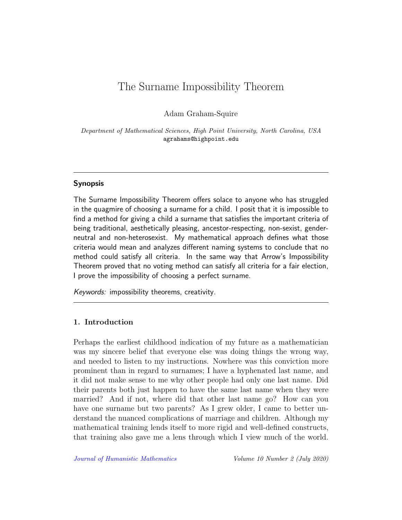# The Surname Impossibility Theorem

Adam Graham-Squire

Department of Mathematical Sciences, High Point University, North Carolina, USA agrahams@highpoint.edu

## Synopsis

The Surname Impossibility Theorem offers solace to anyone who has struggled in the quagmire of choosing a surname for a child. I posit that it is impossible to find a method for giving a child a surname that satisfies the important criteria of being traditional, aesthetically pleasing, ancestor-respecting, non-sexist, genderneutral and non-heterosexist. My mathematical approach defines what those criteria would mean and analyzes different naming systems to conclude that no method could satisfy all criteria. In the same way that Arrow's Impossibility Theorem proved that no voting method can satisfy all criteria for a fair election, I prove the impossibility of choosing a perfect surname.

Keywords: impossibility theorems, creativity.

#### 1. Introduction

Perhaps the earliest childhood indication of my future as a mathematician was my sincere belief that everyone else was doing things the wrong way, and needed to listen to my instructions. Nowhere was this conviction more prominent than in regard to surnames; I have a hyphenated last name, and it did not make sense to me why other people had only one last name. Did their parents both just happen to have the same last name when they were married? And if not, where did that other last name go? How can you have one surname but two parents? As I grew older, I came to better understand the nuanced complications of marriage and children. Although my mathematical training lends itself to more rigid and well-defined constructs, that training also gave me a lens through which I view much of the world.

[Journal of Humanistic Mathematics](http://scholarship.claremont.edu/jhm/) Volume 10 Number 2 (July 2020)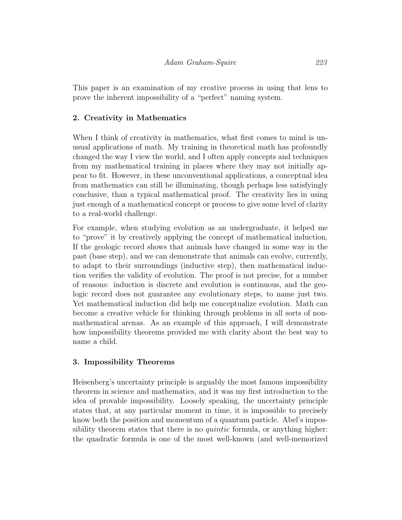This paper is an examination of my creative process in using that lens to prove the inherent impossibility of a "perfect" naming system.

# 2. Creativity in Mathematics

When I think of creativity in mathematics, what first comes to mind is unusual applications of math. My training in theoretical math has profoundly changed the way I view the world, and I often apply concepts and techniques from my mathematical training in places where they may not initially appear to fit. However, in these unconventional applications, a conceptual idea from mathematics can still be illuminating, though perhaps less satisfyingly conclusive, than a typical mathematical proof. The creativity lies in using just enough of a mathematical concept or process to give some level of clarity to a real-world challenge.

For example, when studying evolution as an undergraduate, it helped me to "prove" it by creatively applying the concept of mathematical induction. If the geologic record shows that animals have changed in some way in the past (base step), and we can demonstrate that animals can evolve, currently, to adapt to their surroundings (inductive step), then mathematical induction verifies the validity of evolution. The proof is not precise, for a number of reasons: induction is discrete and evolution is continuous, and the geologic record does not guarantee any evolutionary steps, to name just two. Yet mathematical induction did help me conceptualize evolution. Math can become a creative vehicle for thinking through problems in all sorts of nonmathematical arenas. As an example of this approach, I will demonstrate how impossibility theorems provided me with clarity about the best way to name a child.

## 3. Impossibility Theorems

Heisenberg's uncertainty principle is arguably the most famous impossibility theorem in science and mathematics, and it was my first introduction to the idea of provable impossibility. Loosely speaking, the uncertainty principle states that, at any particular moment in time, it is impossible to precisely know both the position and momentum of a quantum particle. Abel's impossibility theorem states that there is no *quintic* formula, or anything higher: the quadratic formula is one of the most well-known (and well-memorized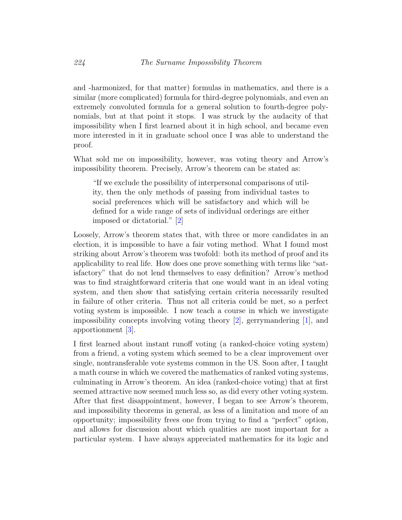and -harmonized, for that matter) formulas in mathematics, and there is a similar (more complicated) formula for third-degree polynomials, and even an extremely convoluted formula for a general solution to fourth-degree polynomials, but at that point it stops. I was struck by the audacity of that impossibility when I first learned about it in high school, and became even more interested in it in graduate school once I was able to understand the proof.

What sold me on impossibility, however, was voting theory and Arrow's impossibility theorem. Precisely, Arrow's theorem can be stated as:

"If we exclude the possibility of interpersonal comparisons of utility, then the only methods of passing from individual tastes to social preferences which will be satisfactory and which will be defined for a wide range of sets of individual orderings are either imposed or dictatorial." [\[2\]](#page-15-0)

Loosely, Arrow's theorem states that, with three or more candidates in an election, it is impossible to have a fair voting method. What I found most striking about Arrow's theorem was twofold: both its method of proof and its applicability to real life. How does one prove something with terms like "satisfactory" that do not lend themselves to easy definition? Arrow's method was to find straightforward criteria that one would want in an ideal voting system, and then show that satisfying certain criteria necessarily resulted in failure of other criteria. Thus not all criteria could be met, so a perfect voting system is impossible. I now teach a course in which we investigate impossibility concepts involving voting theory [\[2\]](#page-15-0), gerrymandering [\[1\]](#page-15-1), and apportionment [\[3\]](#page-15-2).

I first learned about instant runoff voting (a ranked-choice voting system) from a friend, a voting system which seemed to be a clear improvement over single, nontransferable vote systems common in the US. Soon after, I taught a math course in which we covered the mathematics of ranked voting systems, culminating in Arrow's theorem. An idea (ranked-choice voting) that at first seemed attractive now seemed much less so, as did every other voting system. After that first disappointment, however, I began to see Arrow's theorem, and impossibility theorems in general, as less of a limitation and more of an opportunity; impossibility frees one from trying to find a "perfect" option, and allows for discussion about which qualities are most important for a particular system. I have always appreciated mathematics for its logic and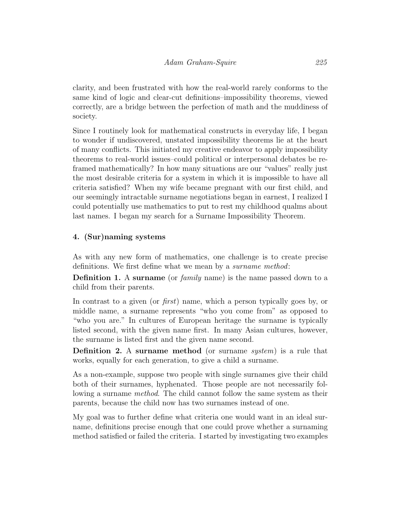clarity, and been frustrated with how the real-world rarely conforms to the same kind of logic and clear-cut definitions–impossibility theorems, viewed correctly, are a bridge between the perfection of math and the muddiness of society.

Since I routinely look for mathematical constructs in everyday life, I began to wonder if undiscovered, unstated impossibility theorems lie at the heart of many conflicts. This initiated my creative endeavor to apply impossibility theorems to real-world issues–could political or interpersonal debates be reframed mathematically? In how many situations are our "values" really just the most desirable criteria for a system in which it is impossible to have all criteria satisfied? When my wife became pregnant with our first child, and our seemingly intractable surname negotiations began in earnest, I realized I could potentially use mathematics to put to rest my childhood qualms about last names. I began my search for a Surname Impossibility Theorem.

## 4. (Sur)naming systems

As with any new form of mathematics, one challenge is to create precise definitions. We first define what we mean by a surname method:

Definition 1. A surname (or *family* name) is the name passed down to a child from their parents.

In contrast to a given (or first) name, which a person typically goes by, or middle name, a surname represents "who you come from" as opposed to "who you are." In cultures of European heritage the surname is typically listed second, with the given name first. In many Asian cultures, however, the surname is listed first and the given name second.

Definition 2. A surname method (or surname system) is a rule that works, equally for each generation, to give a child a surname.

As a non-example, suppose two people with single surnames give their child both of their surnames, hyphenated. Those people are not necessarily following a surname method. The child cannot follow the same system as their parents, because the child now has two surnames instead of one.

My goal was to further define what criteria one would want in an ideal surname, definitions precise enough that one could prove whether a surnaming method satisfied or failed the criteria. I started by investigating two examples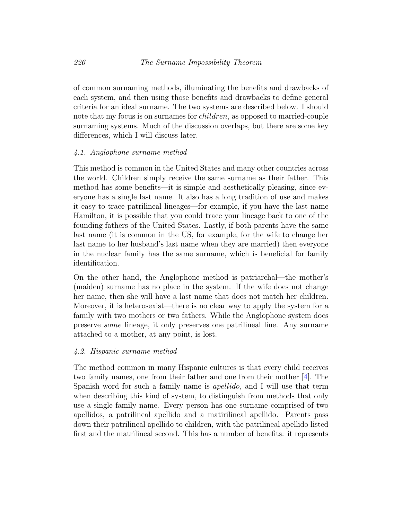of common surnaming methods, illuminating the benefits and drawbacks of each system, and then using those benefits and drawbacks to define general criteria for an ideal surname. The two systems are described below. I should note that my focus is on surnames for *children*, as opposed to married-couple surnaming systems. Much of the discussion overlaps, but there are some key differences, which I will discuss later.

#### 4.1. Anglophone surname method

This method is common in the United States and many other countries across the world. Children simply receive the same surname as their father. This method has some benefits—it is simple and aesthetically pleasing, since everyone has a single last name. It also has a long tradition of use and makes it easy to trace patrilineal lineages—for example, if you have the last name Hamilton, it is possible that you could trace your lineage back to one of the founding fathers of the United States. Lastly, if both parents have the same last name (it is common in the US, for example, for the wife to change her last name to her husband's last name when they are married) then everyone in the nuclear family has the same surname, which is beneficial for family identification.

On the other hand, the Anglophone method is patriarchal—the mother's (maiden) surname has no place in the system. If the wife does not change her name, then she will have a last name that does not match her children. Moreover, it is heterosexist—there is no clear way to apply the system for a family with two mothers or two fathers. While the Anglophone system does preserve some lineage, it only preserves one patrilineal line. Any surname attached to a mother, at any point, is lost.

#### 4.2. Hispanic surname method

The method common in many Hispanic cultures is that every child receives two family names, one from their father and one from their mother [\[4\]](#page-15-3). The Spanish word for such a family name is *apellido*, and I will use that term when describing this kind of system, to distinguish from methods that only use a single family name. Every person has one surname comprised of two apellidos, a patrilineal apellido and a matirilineal apellido. Parents pass down their patrilineal apellido to children, with the patrilineal apellido listed first and the matrilineal second. This has a number of benefits: it represents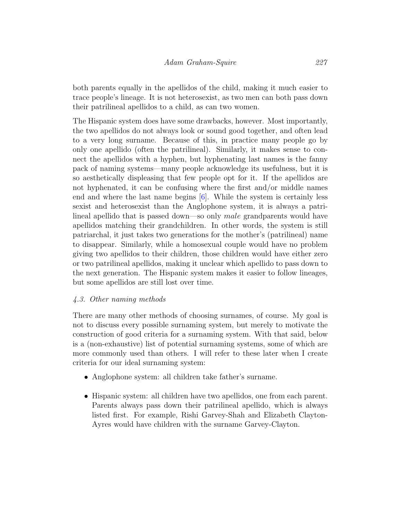both parents equally in the apellidos of the child, making it much easier to trace people's lineage. It is not heterosexist, as two men can both pass down their patrilineal apellidos to a child, as can two women.

The Hispanic system does have some drawbacks, however. Most importantly, the two apellidos do not always look or sound good together, and often lead to a very long surname. Because of this, in practice many people go by only one apellido (often the patrilineal). Similarly, it makes sense to connect the apellidos with a hyphen, but hyphenating last names is the fanny pack of naming systems—many people acknowledge its usefulness, but it is so aesthetically displeasing that few people opt for it. If the apellidos are not hyphenated, it can be confusing where the first and/or middle names end and where the last name begins [\[6\]](#page-16-0). While the system is certainly less sexist and heterosexist than the Anglophone system, it is always a patrilineal apellido that is passed down—so only male grandparents would have apellidos matching their grandchildren. In other words, the system is still patriarchal, it just takes two generations for the mother's (patrilineal) name to disappear. Similarly, while a homosexual couple would have no problem giving two apellidos to their children, those children would have either zero or two patrilineal apellidos, making it unclear which apellido to pass down to the next generation. The Hispanic system makes it easier to follow lineages, but some apellidos are still lost over time.

## 4.3. Other naming methods

There are many other methods of choosing surnames, of course. My goal is not to discuss every possible surnaming system, but merely to motivate the construction of good criteria for a surnaming system. With that said, below is a (non-exhaustive) list of potential surnaming systems, some of which are more commonly used than others. I will refer to these later when I create criteria for our ideal surnaming system:

- Anglophone system: all children take father's surname.
- Hispanic system: all children have two apellidos, one from each parent. Parents always pass down their patrilineal apellido, which is always listed first. For example, Rishi Garvey-Shah and Elizabeth Clayton-Ayres would have children with the surname Garvey-Clayton.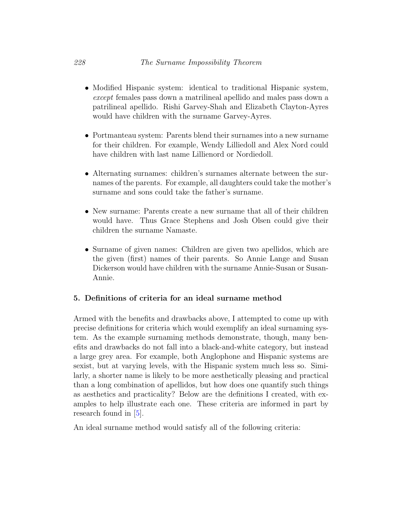- Modified Hispanic system: identical to traditional Hispanic system, except females pass down a matrilineal apellido and males pass down a patrilineal apellido. Rishi Garvey-Shah and Elizabeth Clayton-Ayres would have children with the surname Garvey-Ayres.
- Portmanteau system: Parents blend their surnames into a new surname for their children. For example, Wendy Lilliedoll and Alex Nord could have children with last name Lillienord or Nordiedoll.
- Alternating surnames: children's surnames alternate between the surnames of the parents. For example, all daughters could take the mother's surname and sons could take the father's surname.
- New surname: Parents create a new surname that all of their children would have. Thus Grace Stephens and Josh Olsen could give their children the surname Namaste.
- Surname of given names: Children are given two apellidos, which are the given (first) names of their parents. So Annie Lange and Susan Dickerson would have children with the surname Annie-Susan or Susan-Annie.

## 5. Definitions of criteria for an ideal surname method

Armed with the benefits and drawbacks above, I attempted to come up with precise definitions for criteria which would exemplify an ideal surnaming system. As the example surnaming methods demonstrate, though, many benefits and drawbacks do not fall into a black-and-white category, but instead a large grey area. For example, both Anglophone and Hispanic systems are sexist, but at varying levels, with the Hispanic system much less so. Similarly, a shorter name is likely to be more aesthetically pleasing and practical than a long combination of apellidos, but how does one quantify such things as aesthetics and practicality? Below are the definitions I created, with examples to help illustrate each one. These criteria are informed in part by research found in [\[5\]](#page-15-4).

An ideal surname method would satisfy all of the following criteria: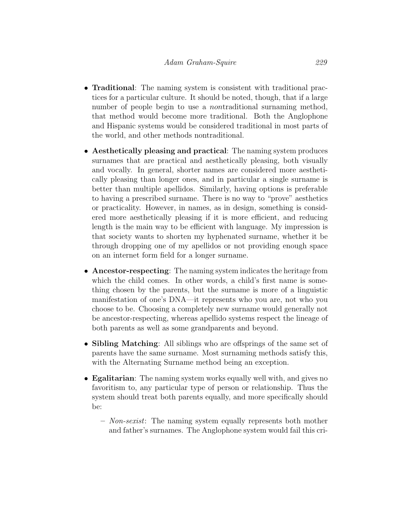- **Traditional**: The naming system is consistent with traditional practices for a particular culture. It should be noted, though, that if a large number of people begin to use a *nontraditional* surnaming method, that method would become more traditional. Both the Anglophone and Hispanic systems would be considered traditional in most parts of the world, and other methods nontraditional.
- Aesthetically pleasing and practical: The naming system produces surnames that are practical and aesthetically pleasing, both visually and vocally. In general, shorter names are considered more aesthetically pleasing than longer ones, and in particular a single surname is better than multiple apellidos. Similarly, having options is preferable to having a prescribed surname. There is no way to "prove" aesthetics or practicality. However, in names, as in design, something is considered more aesthetically pleasing if it is more efficient, and reducing length is the main way to be efficient with language. My impression is that society wants to shorten my hyphenated surname, whether it be through dropping one of my apellidos or not providing enough space on an internet form field for a longer surname.
- Ancestor-respecting: The naming system indicates the heritage from which the child comes. In other words, a child's first name is something chosen by the parents, but the surname is more of a linguistic manifestation of one's DNA—it represents who you are, not who you choose to be. Choosing a completely new surname would generally not be ancestor-respecting, whereas apellido systems respect the lineage of both parents as well as some grandparents and beyond.
- Sibling Matching: All siblings who are offsprings of the same set of parents have the same surname. Most surnaming methods satisfy this, with the Alternating Surname method being an exception.
- Egalitarian: The naming system works equally well with, and gives no favoritism to, any particular type of person or relationship. Thus the system should treat both parents equally, and more specifically should be:
	- Non-sexist: The naming system equally represents both mother and father's surnames. The Anglophone system would fail this cri-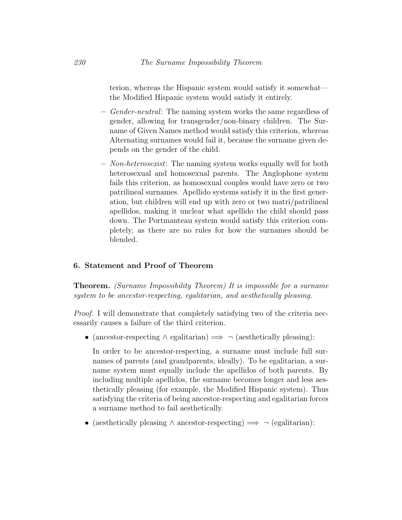terion, whereas the Hispanic system would satisfy it somewhat the Modified Hispanic system would satisfy it entirely.

- *Gender-neutral*: The naming system works the same regardless of gender, allowing for transgender/non-binary children. The Surname of Given Names method would satisfy this criterion, whereas Alternating surnames would fail it, because the surname given depends on the gender of the child.
- Non-heterosexist: The naming system works equally well for both heterosexual and homosexual parents. The Anglophone system fails this criterion, as homosexual couples would have zero or two patrilineal surnames. Apellido systems satisfy it in the first generation, but children will end up with zero or two matri/patrilineal apellidos, making it unclear what apellido the child should pass down. The Portmanteau system would satisfy this criterion completely, as there are no rules for how the surnames should be blended.

#### 6. Statement and Proof of Theorem

Theorem. (Surname Impossibility Theorem) It is impossible for a surname system to be ancestor-respecting, egalitarian, and aesthetically pleasing.

Proof. I will demonstrate that completely satisfying two of the criteria necessarily causes a failure of the third criterion.

• (ancestor-respecting  $\land$  egalitarian)  $\implies \neg$  (aesthetically pleasing):

In order to be ancestor-respecting, a surname must include full surnames of parents (and grandparents, ideally). To be egalitarian, a surname system must equally include the apellidos of both parents. By including multiple apellidos, the surname becomes longer and less aesthetically pleasing (for example, the Modified Hispanic system). Thus satisfying the criteria of being ancestor-respecting and egalitarian forces a surname method to fail aesthetically.

• (aesthetically pleasing  $\land$  ancestor-respecting)  $\implies \neg$  (egalitarian):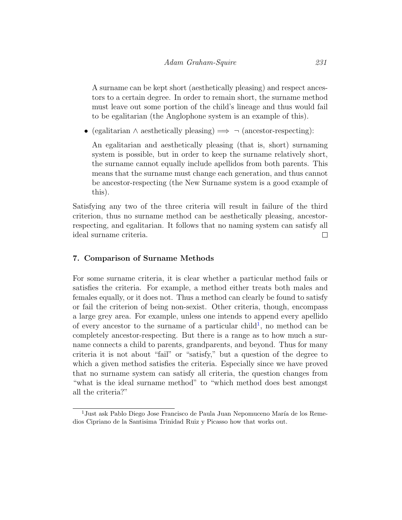A surname can be kept short (aesthetically pleasing) and respect ancestors to a certain degree. In order to remain short, the surname method must leave out some portion of the child's lineage and thus would fail to be egalitarian (the Anglophone system is an example of this).

• (egalitarian  $\land$  aesthetically pleasing)  $\implies \neg$  (ancestor-respecting):

An egalitarian and aesthetically pleasing (that is, short) surnaming system is possible, but in order to keep the surname relatively short, the surname cannot equally include apellidos from both parents. This means that the surname must change each generation, and thus cannot be ancestor-respecting (the New Surname system is a good example of this).

Satisfying any two of the three criteria will result in failure of the third criterion, thus no surname method can be aesthetically pleasing, ancestorrespecting, and egalitarian. It follows that no naming system can satisfy all ideal surname criteria.  $\Box$ 

# 7. Comparison of Surname Methods

For some surname criteria, it is clear whether a particular method fails or satisfies the criteria. For example, a method either treats both males and females equally, or it does not. Thus a method can clearly be found to satisfy or fail the criterion of being non-sexist. Other criteria, though, encompass a large grey area. For example, unless one intends to append every apellido of every ancestor to the surname of a particular child<sup>[1](#page-11-0)</sup>, no method can be completely ancestor-respecting. But there is a range as to how much a surname connects a child to parents, grandparents, and beyond. Thus for many criteria it is not about "fail" or "satisfy," but a question of the degree to which a given method satisfies the criteria. Especially since we have proved that no surname system can satisfy all criteria, the question changes from "what is the ideal surname method" to "which method does best amongst all the criteria?"

<span id="page-11-0"></span><sup>&</sup>lt;sup>1</sup> Just ask Pablo Diego Jose Francisco de Paula Juan Nepomuceno María de los Remedios Cipriano de la Santisima Trinidad Ruiz y Picasso how that works out.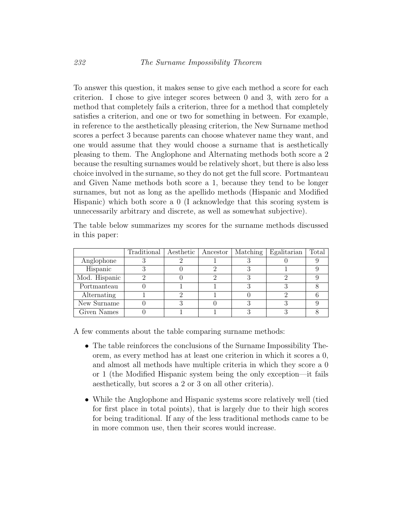To answer this question, it makes sense to give each method a score for each criterion. I chose to give integer scores between 0 and 3, with zero for a method that completely fails a criterion, three for a method that completely satisfies a criterion, and one or two for something in between. For example, in reference to the aesthetically pleasing criterion, the New Surname method scores a perfect 3 because parents can choose whatever name they want, and one would assume that they would choose a surname that is aesthetically pleasing to them. The Anglophone and Alternating methods both score a 2 because the resulting surnames would be relatively short, but there is also less choice involved in the surname, so they do not get the full score. Portmanteau and Given Name methods both score a 1, because they tend to be longer surnames, but not as long as the apellido methods (Hispanic and Modified Hispanic) which both score a 0 (I acknowledge that this scoring system is unnecessarily arbitrary and discrete, as well as somewhat subjective).

The table below summarizes my scores for the surname methods discussed in this paper:

|               | Traditional   Aesthetic | Ancestor | Matching | Egalitarian | Total |
|---------------|-------------------------|----------|----------|-------------|-------|
| Anglophone    |                         |          |          |             |       |
| Hispanic      |                         |          |          |             |       |
| Mod. Hispanic |                         |          |          |             |       |
| Portmanteau   |                         |          |          |             |       |
| Alternating   |                         |          |          |             |       |
| New Surname   |                         |          |          |             |       |
| Given Names   |                         |          |          |             |       |

A few comments about the table comparing surname methods:

- The table reinforces the conclusions of the Surname Impossibility Theorem, as every method has at least one criterion in which it scores a 0, and almost all methods have multiple criteria in which they score a 0 or 1 (the Modified Hispanic system being the only exception—it fails aesthetically, but scores a 2 or 3 on all other criteria).
- While the Anglophone and Hispanic systems score relatively well (tied for first place in total points), that is largely due to their high scores for being traditional. If any of the less traditional methods came to be in more common use, then their scores would increase.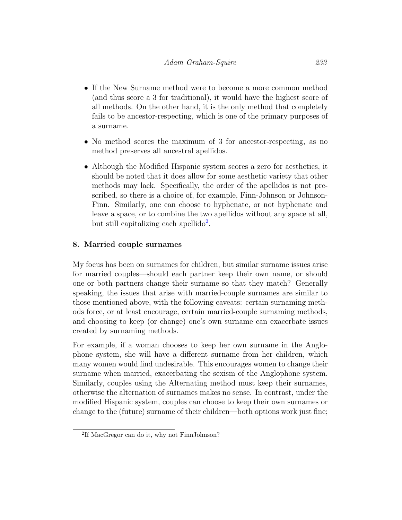- If the New Surname method were to become a more common method (and thus score a 3 for traditional), it would have the highest score of all methods. On the other hand, it is the only method that completely fails to be ancestor-respecting, which is one of the primary purposes of a surname.
- No method scores the maximum of 3 for ancestor-respecting, as no method preserves all ancestral apellidos.
- Although the Modified Hispanic system scores a zero for aesthetics, it should be noted that it does allow for some aesthetic variety that other methods may lack. Specifically, the order of the apellidos is not prescribed, so there is a choice of, for example, Finn-Johnson or Johnson-Finn. Similarly, one can choose to hyphenate, or not hyphenate and leave a space, or to combine the two apellidos without any space at all, but still capitalizing each apellido<sup>[2](#page-13-0)</sup>.

# 8. Married couple surnames

My focus has been on surnames for children, but similar surname issues arise for married couples—should each partner keep their own name, or should one or both partners change their surname so that they match? Generally speaking, the issues that arise with married-couple surnames are similar to those mentioned above, with the following caveats: certain surnaming methods force, or at least encourage, certain married-couple surnaming methods, and choosing to keep (or change) one's own surname can exacerbate issues created by surnaming methods.

For example, if a woman chooses to keep her own surname in the Anglophone system, she will have a different surname from her children, which many women would find undesirable. This encourages women to change their surname when married, exacerbating the sexism of the Anglophone system. Similarly, couples using the Alternating method must keep their surnames, otherwise the alternation of surnames makes no sense. In contrast, under the modified Hispanic system, couples can choose to keep their own surnames or change to the (future) surname of their children—both options work just fine;

<span id="page-13-0"></span><sup>2</sup> If MacGregor can do it, why not FinnJohnson?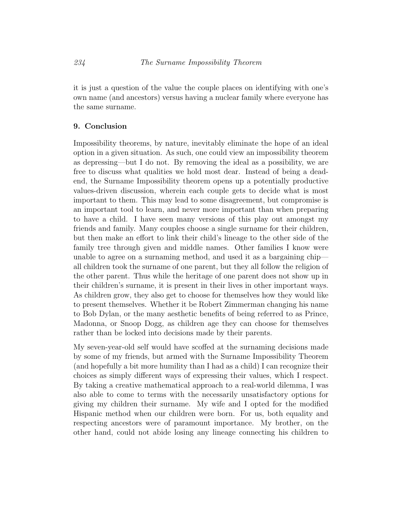it is just a question of the value the couple places on identifying with one's own name (and ancestors) versus having a nuclear family where everyone has the same surname.

#### 9. Conclusion

Impossibility theorems, by nature, inevitably eliminate the hope of an ideal option in a given situation. As such, one could view an impossibility theorem as depressing—but I do not. By removing the ideal as a possibility, we are free to discuss what qualities we hold most dear. Instead of being a deadend, the Surname Impossibility theorem opens up a potentially productive values-driven discussion, wherein each couple gets to decide what is most important to them. This may lead to some disagreement, but compromise is an important tool to learn, and never more important than when preparing to have a child. I have seen many versions of this play out amongst my friends and family. Many couples choose a single surname for their children, but then make an effort to link their child's lineage to the other side of the family tree through given and middle names. Other families I know were unable to agree on a surnaming method, and used it as a bargaining chip all children took the surname of one parent, but they all follow the religion of the other parent. Thus while the heritage of one parent does not show up in their children's surname, it is present in their lives in other important ways. As children grow, they also get to choose for themselves how they would like to present themselves. Whether it be Robert Zimmerman changing his name to Bob Dylan, or the many aesthetic benefits of being referred to as Prince, Madonna, or Snoop Dogg, as children age they can choose for themselves rather than be locked into decisions made by their parents.

My seven-year-old self would have scoffed at the surnaming decisions made by some of my friends, but armed with the Surname Impossibility Theorem (and hopefully a bit more humility than I had as a child) I can recognize their choices as simply different ways of expressing their values, which I respect. By taking a creative mathematical approach to a real-world dilemma, I was also able to come to terms with the necessarily unsatisfactory options for giving my children their surname. My wife and I opted for the modified Hispanic method when our children were born. For us, both equality and respecting ancestors were of paramount importance. My brother, on the other hand, could not abide losing any lineage connecting his children to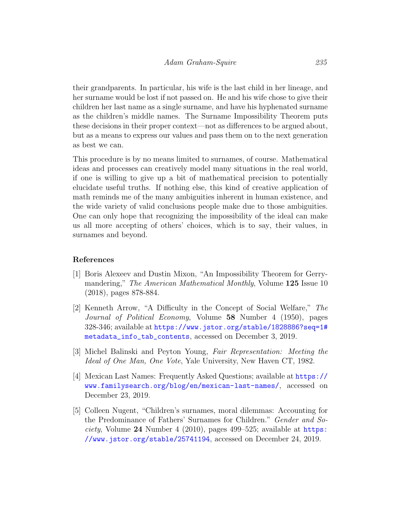their grandparents. In particular, his wife is the last child in her lineage, and her surname would be lost if not passed on. He and his wife chose to give their children her last name as a single surname, and have his hyphenated surname as the children's middle names. The Surname Impossibility Theorem puts these decisions in their proper context—not as differences to be argued about, but as a means to express our values and pass them on to the next generation as best we can.

This procedure is by no means limited to surnames, of course. Mathematical ideas and processes can creatively model many situations in the real world, if one is willing to give up a bit of mathematical precision to potentially elucidate useful truths. If nothing else, this kind of creative application of math reminds me of the many ambiguities inherent in human existence, and the wide variety of valid conclusions people make due to those ambiguities. One can only hope that recognizing the impossibility of the ideal can make us all more accepting of others' choices, which is to say, their values, in surnames and beyond.

#### References

- <span id="page-15-1"></span>[1] Boris Alexeev and Dustin Mixon, "An Impossibility Theorem for Gerrymandering," The American Mathematical Monthly, Volume 125 Issue 10 (2018), pages 878-884.
- <span id="page-15-0"></span>[2] Kenneth Arrow, "A Difficulty in the Concept of Social Welfare," The Journal of Political Economy, Volume 58 Number 4 (1950), pages 328-346; available at [https://www.jstor.org/stable/1828886?seq=1#](https://www.jstor.org/stable/1828886?seq=1#metadata_info_tab_contents) [metadata\\_info\\_tab\\_contents](https://www.jstor.org/stable/1828886?seq=1#metadata_info_tab_contents), accessed on December 3, 2019.
- <span id="page-15-2"></span>[3] Michel Balinski and Peyton Young, Fair Representation: Meeting the Ideal of One Man, One Vote, Yale University, New Haven CT, 1982.
- <span id="page-15-3"></span>[4] Mexican Last Names: Frequently Asked Questions; available at [https://](https://www.familysearch.org/blog/en/mexican-last-names/) [www.familysearch.org/blog/en/mexican-last-names/](https://www.familysearch.org/blog/en/mexican-last-names/), accessed on December 23, 2019.
- <span id="page-15-4"></span>[5] Colleen Nugent, "Children's surnames, moral dilemmas: Accounting for the Predominance of Fathers' Surnames for Children." Gender and Society, Volume  $24$  Number 4 (2010), pages 499–525; available at [https:](https://www.jstor.org/stable/25741194) [//www.jstor.org/stable/25741194](https://www.jstor.org/stable/25741194), accessed on December 24, 2019.